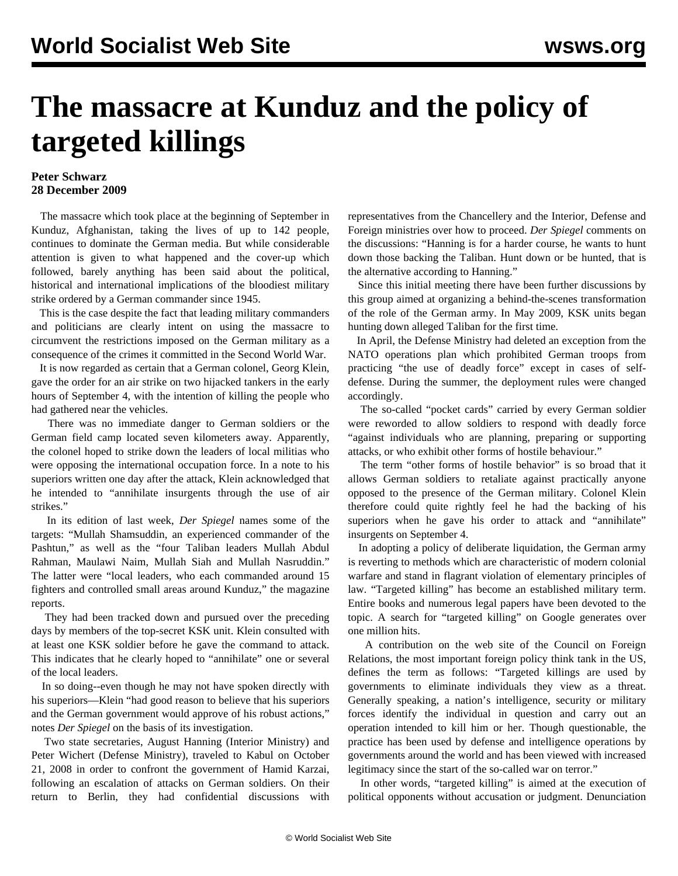## **The massacre at Kunduz and the policy of targeted killings**

## **Peter Schwarz 28 December 2009**

 The massacre which took place at the beginning of September in Kunduz, Afghanistan, taking the lives of up to 142 people, continues to dominate the German media. But while considerable attention is given to what happened and the cover-up which followed, barely anything has been said about the political, historical and international implications of the bloodiest military strike ordered by a German commander since 1945.

 This is the case despite the fact that leading military commanders and politicians are clearly intent on using the massacre to circumvent the restrictions imposed on the German military as a consequence of the crimes it committed in the Second World War.

 It is now regarded as certain that a German colonel, Georg Klein, gave the order for an air strike on two hijacked tankers in the early hours of September 4, with the intention of killing the people who had gathered near the vehicles.

 There was no immediate danger to German soldiers or the German field camp located seven kilometers away. Apparently, the colonel hoped to strike down the leaders of local militias who were opposing the international occupation force. In a note to his superiors written one day after the attack, Klein acknowledged that he intended to "annihilate insurgents through the use of air strikes."

 In its edition of last week, *Der Spiegel* names some of the targets: "Mullah Shamsuddin, an experienced commander of the Pashtun," as well as the "four Taliban leaders Mullah Abdul Rahman, Maulawi Naim, Mullah Siah and Mullah Nasruddin." The latter were "local leaders, who each commanded around 15 fighters and controlled small areas around Kunduz," the magazine reports.

 They had been tracked down and pursued over the preceding days by members of the top-secret KSK unit. Klein consulted with at least one KSK soldier before he gave the command to attack. This indicates that he clearly hoped to "annihilate" one or several of the local leaders.

 In so doing--even though he may not have spoken directly with his superiors—Klein "had good reason to believe that his superiors and the German government would approve of his robust actions," notes *Der Spiegel* on the basis of its investigation.

 Two state secretaries, August Hanning (Interior Ministry) and Peter Wichert (Defense Ministry), traveled to Kabul on October 21, 2008 in order to confront the government of Hamid Karzai, following an escalation of attacks on German soldiers. On their return to Berlin, they had confidential discussions with representatives from the Chancellery and the Interior, Defense and Foreign ministries over how to proceed. *Der Spiegel* comments on the discussions: "Hanning is for a harder course, he wants to hunt down those backing the Taliban. Hunt down or be hunted, that is the alternative according to Hanning."

 Since this initial meeting there have been further discussions by this group aimed at organizing a behind-the-scenes transformation of the role of the German army. In May 2009, KSK units began hunting down alleged Taliban for the first time.

 In April, the Defense Ministry had deleted an exception from the NATO operations plan which prohibited German troops from practicing "the use of deadly force" except in cases of selfdefense. During the summer, the deployment rules were changed accordingly.

 The so-called "pocket cards" carried by every German soldier were reworded to allow soldiers to respond with deadly force "against individuals who are planning, preparing or supporting attacks, or who exhibit other forms of hostile behaviour."

 The term "other forms of hostile behavior" is so broad that it allows German soldiers to retaliate against practically anyone opposed to the presence of the German military. Colonel Klein therefore could quite rightly feel he had the backing of his superiors when he gave his order to attack and "annihilate" insurgents on September 4.

 In adopting a policy of deliberate liquidation, the German army is reverting to methods which are characteristic of modern colonial warfare and stand in flagrant violation of elementary principles of law. "Targeted killing" has become an established military term. Entire books and numerous legal papers have been devoted to the topic. A search for "targeted killing" on Google generates over one million hits.

 A contribution on the web site of the Council on Foreign Relations, the most important foreign policy think tank in the US, defines the term as follows: "Targeted killings are used by governments to eliminate individuals they view as a threat. Generally speaking, a nation's intelligence, security or military forces identify the individual in question and carry out an operation intended to kill him or her. Though questionable, the practice has been used by defense and intelligence operations by governments around the world and has been viewed with increased legitimacy since the start of the so-called war on terror."

 In other words, "targeted killing" is aimed at the execution of political opponents without accusation or judgment. Denunciation